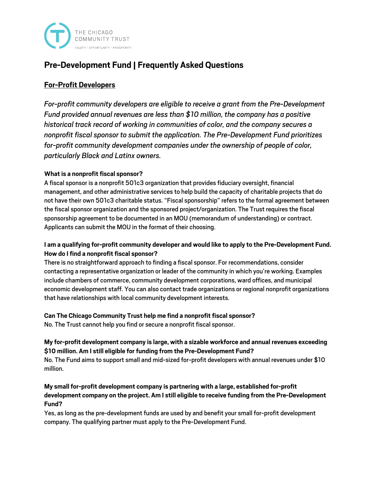

# **Pre-Development Fund | Frequently Asked Questions**

## **For-Profit Developers**

*For-profit community developers are eligible to receive a grant from the Pre-Development Fund provided annual revenues are less than \$10 million, the company has a positive historical track record of working in communities of color, and the company secures a nonprofit fiscal sponsor to submit the application. The Pre-Development Fund prioritizes for-profit community development companies under the ownership of people of color, particularly Black and Latinx owners.*

#### **What is a nonprofit fiscal sponsor?**

A fiscal sponsor is a nonprofit 501c3 organization that provides fiduciary oversight, financial management, and other administrative services to help build the capacity of charitable projects that do not have their own 501c3 charitable status. "Fiscal sponsorship"refers to the formal agreement between the fiscal sponsor organization and the sponsored project/organization. The Trust requires the fiscal sponsorship agreement to be documented in an MOU (memorandum of understanding) or contract. Applicants can submit the MOU in the format of their choosing.

### **I am a qualifying for-profit community developer and would like to apply to the Pre-Development Fund. How do I find a nonprofit fiscal sponsor?**

There is no straightforward approach to finding a fiscal sponsor. For recommendations, consider contacting a representative organization or leader of the community in which you're working. Examples include chambers of commerce, community development corporations, ward offices, and municipal economic development staff. You can also contact trade organizations or regional nonprofit organizations that have relationships with local community development interests.

### **Can The Chicago Community Trust help me find a nonprofit fiscal sponsor?**

No. The Trust cannot help you find or secure a nonprofit fiscal sponsor.

### **My for-profit development company is large, with a sizable workforce and annual revenues exceeding \$10 million. Am I still eligible for funding from the Pre-Development Fund?**

No. The Fund aims to support small and mid-sized for-profit developers with annual revenues under \$10 million.

#### **My small for-profit development company is partnering with a large, established for-profit development company on the project. Am I still eligible to receive funding from the Pre-Development Fund?**

Yes, as long as the pre-development funds are used by and benefit your small for-profit development company. The qualifying partner must apply to the Pre-Development Fund.